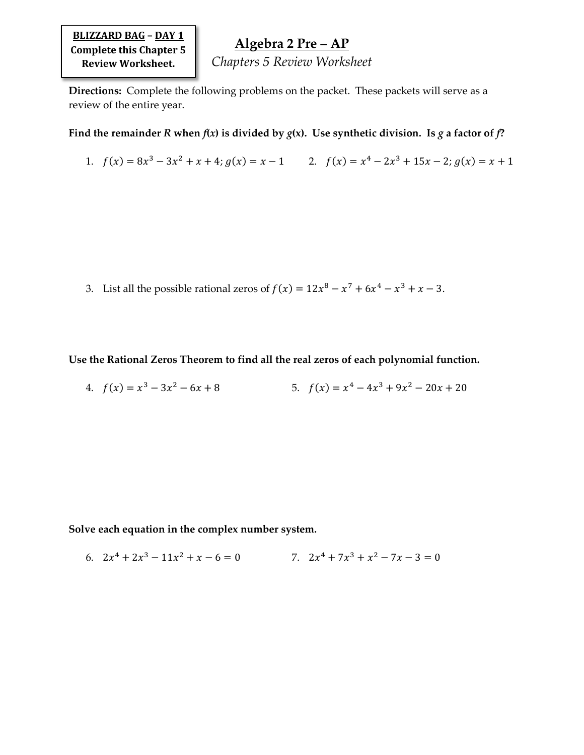**BLIZZARD BAG – DAY 1 Complete this Chapter 5 Review Worksheet.**

## **Algebra 2 Pre – AP**

*Chapters 5 Review Worksheet*

**Directions:** Complete the following problems on the packet. These packets will serve as a review of the entire year.

Find the remainder *R* when  $f(x)$  is divided by  $g(x)$ . Use synthetic division. Is  $g$  a factor of  $f$ ?

1. 
$$
f(x) = 8x^3 - 3x^2 + x + 4
$$
;  $g(x) = x - 1$   
2.  $f(x) = x^4 - 2x^3 + 15x - 2$ ;  $g(x) = x + 1$ 

3. List all the possible rational zeros of  $f(x) = 12x^8 - x^7 + 6x^4 - x^3 + x - 3$ .

**Use the Rational Zeros Theorem to find all the real zeros of each polynomial function.**

4. 
$$
f(x) = x^3 - 3x^2 - 6x + 8
$$
  
5.  $f(x) = x^4 - 4x^3 + 9x^2 - 20x + 20$ 

**Solve each equation in the complex number system.**

6. 
$$
2x^4 + 2x^3 - 11x^2 + x - 6 = 0
$$
  
7.  $2x^4 + 7x^3 + x^2 - 7x - 3 = 0$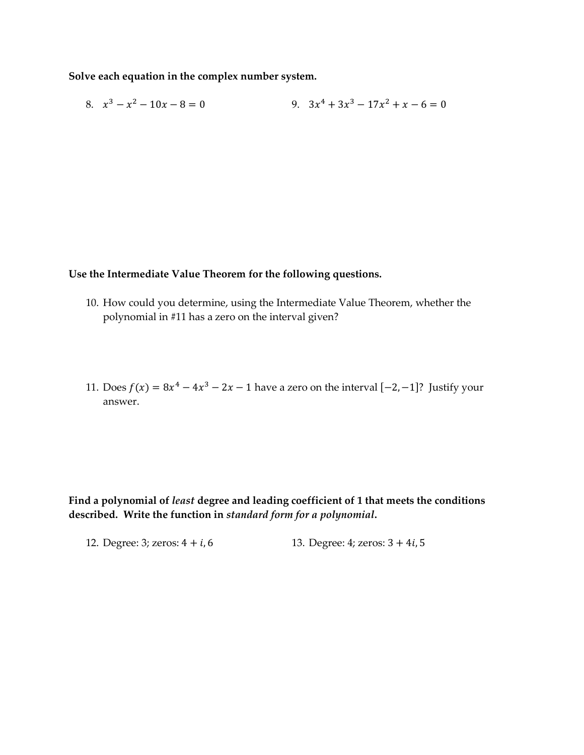**Solve each equation in the complex number system.**

8. 
$$
x^3 - x^2 - 10x - 8 = 0
$$
  
9.  $3x^4 + 3x^3 - 17x^2 + x - 6 = 0$ 

## **Use the Intermediate Value Theorem for the following questions.**

- 10. How could you determine, using the Intermediate Value Theorem, whether the polynomial in #11 has a zero on the interval given?
- 11. Does  $f(x) = 8x^4 4x^3 2x 1$  have a zero on the interval  $[-2, -1]$ ? Justify your answer.

**Find a polynomial of** *least* **degree and leading coefficient of 1 that meets the conditions described. Write the function in** *standard form for a polynomial***.**

12. Degree: 3; zeros:  $4 + i$ , 6 13. Degree:  $4$ ; zeros:  $3 + 4i$ , 5